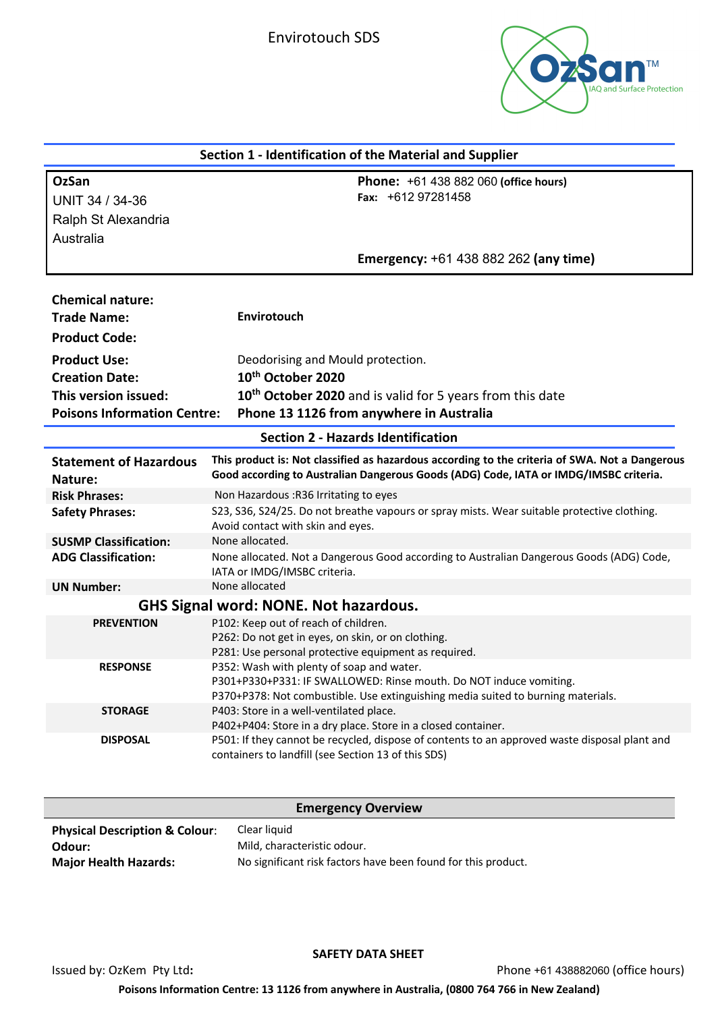

| Section 1 - Identification of the Material and Supplier |                                                                                                                                                                                                     |  |  |
|---------------------------------------------------------|-----------------------------------------------------------------------------------------------------------------------------------------------------------------------------------------------------|--|--|
| <b>OzSan</b><br>UNIT 34 / 34-36                         | <b>Phone:</b> +61 438 882 060 (office hours)<br>Fax: $+61297281458$                                                                                                                                 |  |  |
| Ralph St Alexandria                                     |                                                                                                                                                                                                     |  |  |
| Australia                                               |                                                                                                                                                                                                     |  |  |
|                                                         | Emergency: +61 438 882 262 (any time)                                                                                                                                                               |  |  |
| <b>Chemical nature:</b><br><b>Trade Name:</b>           | <b>Envirotouch</b>                                                                                                                                                                                  |  |  |
| <b>Product Code:</b>                                    |                                                                                                                                                                                                     |  |  |
| <b>Product Use:</b>                                     | Deodorising and Mould protection.                                                                                                                                                                   |  |  |
| <b>Creation Date:</b>                                   | 10 <sup>th</sup> October 2020                                                                                                                                                                       |  |  |
| This version issued:                                    | 10 <sup>th</sup> October 2020 and is valid for 5 years from this date                                                                                                                               |  |  |
| <b>Poisons Information Centre:</b>                      | Phone 13 1126 from anywhere in Australia                                                                                                                                                            |  |  |
| <b>Section 2 - Hazards Identification</b>               |                                                                                                                                                                                                     |  |  |
| <b>Statement of Hazardous</b><br>Nature:                | This product is: Not classified as hazardous according to the criteria of SWA. Not a Dangerous<br>Good according to Australian Dangerous Goods (ADG) Code, IATA or IMDG/IMSBC criteria.             |  |  |
| <b>Risk Phrases:</b>                                    | Non Hazardous : R36 Irritating to eyes                                                                                                                                                              |  |  |
| <b>Safety Phrases:</b>                                  | S23, S36, S24/25. Do not breathe vapours or spray mists. Wear suitable protective clothing.<br>Avoid contact with skin and eyes.                                                                    |  |  |
| <b>SUSMP Classification:</b>                            | None allocated.                                                                                                                                                                                     |  |  |
| <b>ADG Classification:</b>                              | None allocated. Not a Dangerous Good according to Australian Dangerous Goods (ADG) Code,<br>IATA or IMDG/IMSBC criteria.                                                                            |  |  |
| <b>UN Number:</b>                                       | None allocated                                                                                                                                                                                      |  |  |
| <b>GHS Signal word: NONE. Not hazardous.</b>            |                                                                                                                                                                                                     |  |  |
| <b>PREVENTION</b>                                       | P102: Keep out of reach of children.<br>P262: Do not get in eyes, on skin, or on clothing.<br>P281: Use personal protective equipment as required.                                                  |  |  |
| <b>RESPONSE</b>                                         | P352: Wash with plenty of soap and water.<br>P301+P330+P331: IF SWALLOWED: Rinse mouth. Do NOT induce vomiting.<br>P370+P378: Not combustible. Use extinguishing media suited to burning materials. |  |  |
| <b>STORAGE</b>                                          | P403: Store in a well-ventilated place.<br>P402+P404: Store in a dry place. Store in a closed container.                                                                                            |  |  |
| <b>DISPOSAL</b>                                         | P501: If they cannot be recycled, dispose of contents to an approved waste disposal plant and<br>containers to landfill (see Section 13 of this SDS)                                                |  |  |

|                                           | <b>Emergency Overview</b>                                     |
|-------------------------------------------|---------------------------------------------------------------|
| <b>Physical Description &amp; Colour:</b> | Clear liquid                                                  |
| Odour:                                    | Mild, characteristic odour.                                   |
| <b>Major Health Hazards:</b>              | No significant risk factors have been found for this product. |

**SAFETY DATA SHEET**

Issued by: OzKem Pty Ltd**:** Phone +61 438882060 (office hours)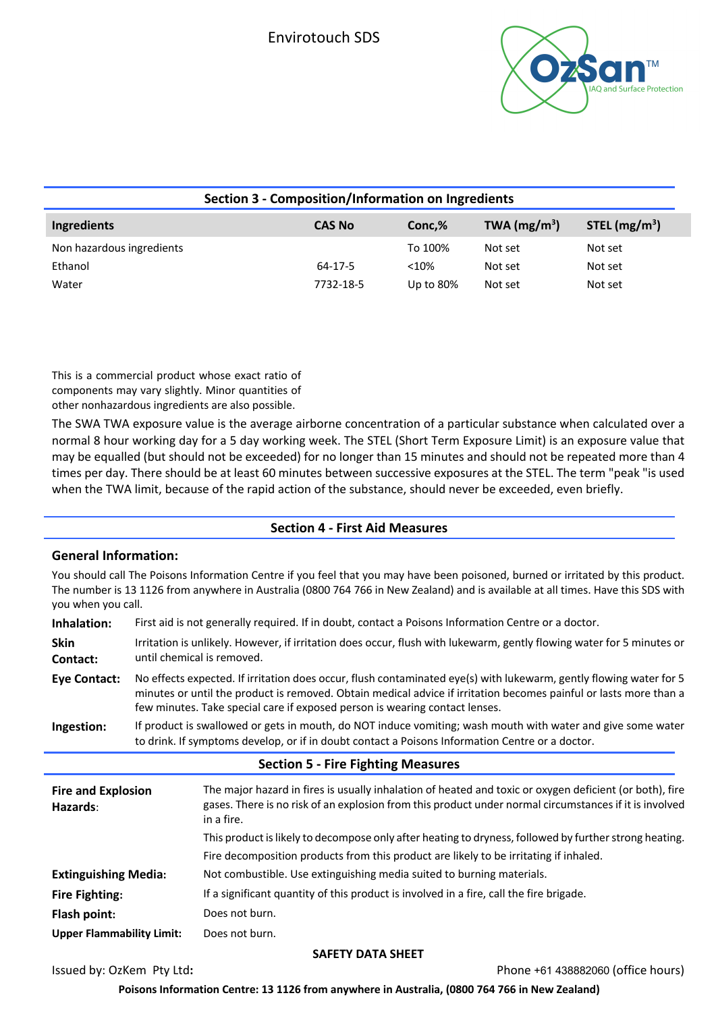

| Section 3 - Composition/Information on Ingredients |               |              |                |                 |
|----------------------------------------------------|---------------|--------------|----------------|-----------------|
| Ingredients                                        | <b>CAS No</b> | Conc.%       | TWA $(mg/m^3)$ | STEL $(mg/m^3)$ |
| Non hazardous ingredients                          |               | To 100%      | Not set        | Not set         |
| Ethanol                                            | 64-17-5       | < 10%        | Not set        | Not set         |
| Water                                              | 7732-18-5     | Up to $80\%$ | Not set        | Not set         |

This is a commercial product whose exact ratio of components may vary slightly. Minor quantities of other nonhazardous ingredients are also possible.

The SWA TWA exposure value is the average airborne concentration of a particular substance when calculated over a normal 8 hour working day for a 5 day working week. The STEL (Short Term Exposure Limit) is an exposure value that may be equalled (but should not be exceeded) for no longer than 15 minutes and should not be repeated more than 4 times per day. There should be at least 60 minutes between successive exposures at the STEL. The term "peak "is used when the TWA limit, because of the rapid action of the substance, should never be exceeded, even briefly.

## **Section 4 - First Aid Measures**

### **General Information:**

You should call The Poisons Information Centre if you feel that you may have been poisoned, burned or irritated by this product. The number is 13 1126 from anywhere in Australia (0800 764 766 in New Zealand) and is available at all times. Have this SDS with you when you call.

| Inhalation:                           | First aid is not generally required. If in doubt, contact a Poisons Information Centre or a doctor.                                                                                                                                                                                                                    |                                                                                                                                                                                                                                 |  |
|---------------------------------------|------------------------------------------------------------------------------------------------------------------------------------------------------------------------------------------------------------------------------------------------------------------------------------------------------------------------|---------------------------------------------------------------------------------------------------------------------------------------------------------------------------------------------------------------------------------|--|
| <b>Skin</b><br>Contact:               | Irritation is unlikely. However, if irritation does occur, flush with lukewarm, gently flowing water for 5 minutes or<br>until chemical is removed.                                                                                                                                                                    |                                                                                                                                                                                                                                 |  |
| <b>Eye Contact:</b>                   | No effects expected. If irritation does occur, flush contaminated eye(s) with lukewarm, gently flowing water for 5<br>minutes or until the product is removed. Obtain medical advice if irritation becomes painful or lasts more than a<br>few minutes. Take special care if exposed person is wearing contact lenses. |                                                                                                                                                                                                                                 |  |
| Ingestion:                            | If product is swallowed or gets in mouth, do NOT induce vomiting; wash mouth with water and give some water<br>to drink. If symptoms develop, or if in doubt contact a Poisons Information Centre or a doctor.                                                                                                         |                                                                                                                                                                                                                                 |  |
|                                       |                                                                                                                                                                                                                                                                                                                        | <b>Section 5 - Fire Fighting Measures</b>                                                                                                                                                                                       |  |
| <b>Fire and Explosion</b><br>Hazards: |                                                                                                                                                                                                                                                                                                                        | The major hazard in fires is usually inhalation of heated and toxic or oxygen deficient (or both), fire<br>gases. There is no risk of an explosion from this product under normal circumstances if it is involved<br>in a fire. |  |
|                                       |                                                                                                                                                                                                                                                                                                                        | This product is likely to decompose only after heating to dryness, followed by further strong heating.                                                                                                                          |  |
|                                       |                                                                                                                                                                                                                                                                                                                        | Fire decomposition products from this product are likely to be irritating if inhaled.                                                                                                                                           |  |
| <b>Extinguishing Media:</b>           |                                                                                                                                                                                                                                                                                                                        | Not combustible. Use extinguishing media suited to burning materials.                                                                                                                                                           |  |
| <b>Fire Fighting:</b>                 |                                                                                                                                                                                                                                                                                                                        | If a significant quantity of this product is involved in a fire, call the fire brigade.                                                                                                                                         |  |
| Flash point:                          |                                                                                                                                                                                                                                                                                                                        | Does not burn.                                                                                                                                                                                                                  |  |
| <b>Upper Flammability Limit:</b>      |                                                                                                                                                                                                                                                                                                                        | Does not burn.                                                                                                                                                                                                                  |  |

#### **SAFETY DATA SHEET**

Issued by: OzKem Pty Ltd**:** Phone +61 438882060 (office hours)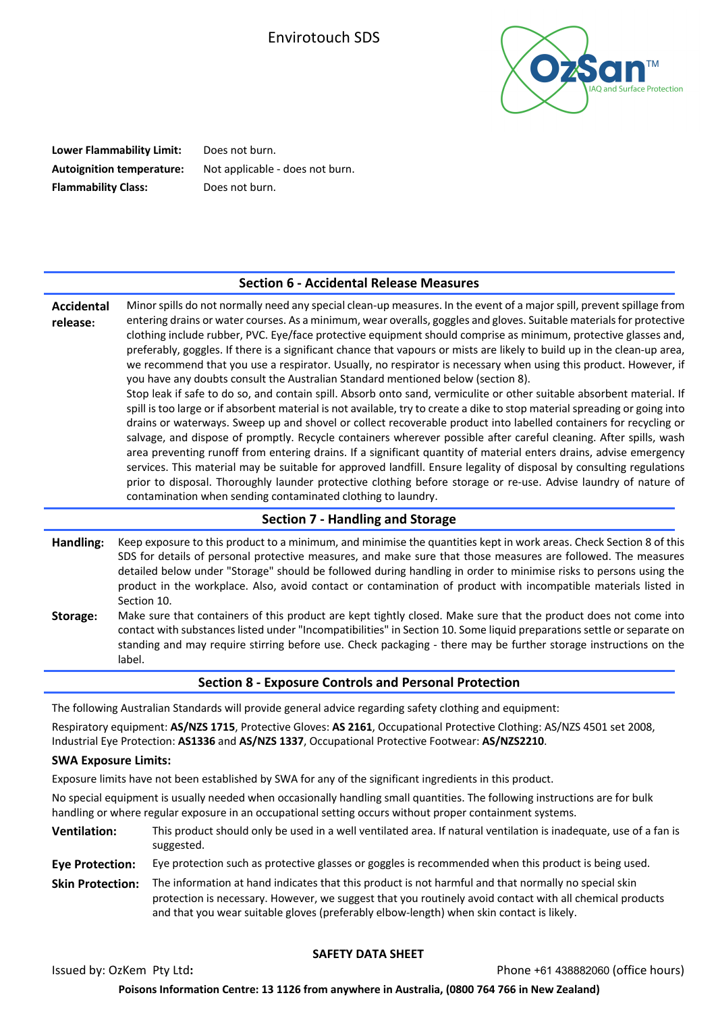

**Lower Flammability Limit:** Does not burn. **Autoignition temperature:** Not applicable - does not burn. **Flammability Class:** Does not burn.

### **Section 6 - Accidental Release Measures**

**Accidental release:** Minor spills do not normally need any special clean-up measures. In the event of a major spill, prevent spillage from entering drains or water courses. As a minimum, wear overalls, goggles and gloves. Suitable materials for protective clothing include rubber, PVC. Eye/face protective equipment should comprise as minimum, protective glasses and, preferably, goggles. If there is a significant chance that vapours or mists are likely to build up in the clean-up area, we recommend that you use a respirator. Usually, no respirator is necessary when using this product. However, if you have any doubts consult the Australian Standard mentioned below (section 8). Stop leak if safe to do so, and contain spill. Absorb onto sand, vermiculite or other suitable absorbent material. If spill is too large or if absorbent material is not available, try to create a dike to stop material spreading or going into drains or waterways. Sweep up and shovel or collect recoverable product into labelled containers for recycling or salvage, and dispose of promptly. Recycle containers wherever possible after careful cleaning. After spills, wash area preventing runoff from entering drains. If a significant quantity of material enters drains, advise emergency services. This material may be suitable for approved landfill. Ensure legality of disposal by consulting regulations prior to disposal. Thoroughly launder protective clothing before storage or re-use. Advise laundry of nature of contamination when sending contaminated clothing to laundry.

#### **Section 7 - Handling and Storage**

**Handling:** Keep exposure to this product to a minimum, and minimise the quantities kept in work areas. Check Section 8 of this SDS for details of personal protective measures, and make sure that those measures are followed. The measures detailed below under "Storage" should be followed during handling in order to minimise risks to persons using the product in the workplace. Also, avoid contact or contamination of product with incompatible materials listed in Section 10.

**Storage:** Make sure that containers of this product are kept tightly closed. Make sure that the product does not come into contact with substances listed under "Incompatibilities" in Section 10. Some liquid preparations settle or separate on standing and may require stirring before use. Check packaging - there may be further storage instructions on the label.

### **Section 8 - Exposure Controls and Personal Protection**

The following Australian Standards will provide general advice regarding safety clothing and equipment:

Respiratory equipment: **AS/NZS 1715**, Protective Gloves: **AS 2161**, Occupational Protective Clothing: AS/NZS 4501 set 2008, Industrial Eye Protection: **AS1336** and **AS/NZS 1337**, Occupational Protective Footwear: **AS/NZS2210**.

#### **SWA Exposure Limits:**

Exposure limits have not been established by SWA for any of the significant ingredients in this product.

No special equipment is usually needed when occasionally handling small quantities. The following instructions are for bulk handling or where regular exposure in an occupational setting occurs without proper containment systems.

- **Ventilation:** This product should only be used in a well ventilated area. If natural ventilation is inadequate, use of a fan is suggested.
- **Eye Protection:** Eye protection such as protective glasses or goggles is recommended when this product is being used.
- **Skin Protection:** The information at hand indicates that this product is not harmful and that normally no special skin protection is necessary. However, we suggest that you routinely avoid contact with all chemical products and that you wear suitable gloves (preferably elbow-length) when skin contact is likely.

### **SAFETY DATA SHEET**

Issued by: OzKem Pty Ltd**:** Phone +61 438882060 (office hours)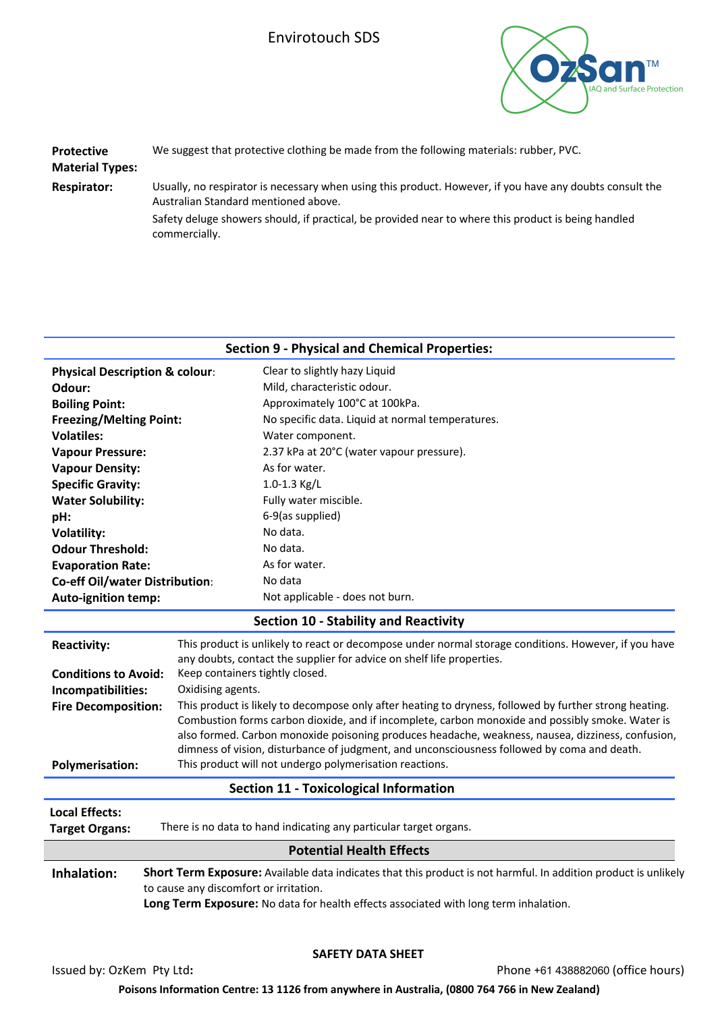

| <b>Protective</b><br><b>Material Types:</b> | We suggest that protective clothing be made from the following materials: rubber, PVC.                                                           |  |
|---------------------------------------------|--------------------------------------------------------------------------------------------------------------------------------------------------|--|
| <b>Respirator:</b>                          | Usually, no respirator is necessary when using this product. However, if you have any doubts consult the<br>Australian Standard mentioned above. |  |
|                                             | Safety deluge showers should, if practical, be provided near to where this product is being handled<br>commercially.                             |  |
|                                             | <b>Section 9 - Physical and Chemical Properties:</b>                                                                                             |  |

| <b>Physical Description &amp; colour:</b> |  |                                        | Clear to slightly hazy Liquid                                                                                   |  |
|-------------------------------------------|--|----------------------------------------|-----------------------------------------------------------------------------------------------------------------|--|
| Odour:                                    |  |                                        | Mild, characteristic odour.                                                                                     |  |
| <b>Boiling Point:</b>                     |  |                                        | Approximately 100°C at 100kPa.                                                                                  |  |
| <b>Freezing/Melting Point:</b>            |  |                                        | No specific data. Liquid at normal temperatures.                                                                |  |
| <b>Volatiles:</b>                         |  |                                        | Water component.                                                                                                |  |
| <b>Vapour Pressure:</b>                   |  |                                        | 2.37 kPa at 20°C (water vapour pressure).                                                                       |  |
| <b>Vapour Density:</b>                    |  |                                        | As for water.                                                                                                   |  |
| <b>Specific Gravity:</b>                  |  |                                        | 1.0-1.3 Kg/L                                                                                                    |  |
| <b>Water Solubility:</b>                  |  |                                        | Fully water miscible.                                                                                           |  |
| pH:                                       |  |                                        | 6-9(as supplied)                                                                                                |  |
| <b>Volatility:</b>                        |  |                                        | No data.                                                                                                        |  |
| <b>Odour Threshold:</b>                   |  |                                        | No data.                                                                                                        |  |
| <b>Evaporation Rate:</b>                  |  |                                        | As for water.                                                                                                   |  |
| <b>Co-eff Oil/water Distribution:</b>     |  |                                        | No data                                                                                                         |  |
| <b>Auto-ignition temp:</b>                |  |                                        | Not applicable - does not burn.                                                                                 |  |
|                                           |  |                                        | <b>Section 10 - Stability and Reactivity</b>                                                                    |  |
| <b>Reactivity:</b>                        |  |                                        | This product is unlikely to react or decompose under normal storage conditions. However, if you have            |  |
|                                           |  |                                        | any doubts, contact the supplier for advice on shelf life properties.                                           |  |
| <b>Conditions to Avoid:</b>               |  | Keep containers tightly closed.        |                                                                                                                 |  |
| Incompatibilities:                        |  | Oxidising agents.                      |                                                                                                                 |  |
| <b>Fire Decomposition:</b>                |  |                                        | This product is likely to decompose only after heating to dryness, followed by further strong heating.          |  |
|                                           |  |                                        | Combustion forms carbon dioxide, and if incomplete, carbon monoxide and possibly smoke. Water is                |  |
|                                           |  |                                        | also formed. Carbon monoxide poisoning produces headache, weakness, nausea, dizziness, confusion,               |  |
|                                           |  |                                        | dimness of vision, disturbance of judgment, and unconsciousness followed by coma and death.                     |  |
| <b>Polymerisation:</b>                    |  |                                        | This product will not undergo polymerisation reactions.                                                         |  |
|                                           |  |                                        | <b>Section 11 - Toxicological Information</b>                                                                   |  |
| <b>Local Effects:</b>                     |  |                                        |                                                                                                                 |  |
| <b>Target Organs:</b>                     |  |                                        | There is no data to hand indicating any particular target organs.                                               |  |
|                                           |  |                                        | <b>Potential Health Effects</b>                                                                                 |  |
| Inhalation:                               |  |                                        | Short Term Exposure: Available data indicates that this product is not harmful. In addition product is unlikely |  |
|                                           |  | to cause any discomfort or irritation. |                                                                                                                 |  |
|                                           |  |                                        | Long Term Exposure: No data for health effects associated with long term inhalation.                            |  |
|                                           |  |                                        |                                                                                                                 |  |

### **SAFETY DATA SHEET**

Issued by: OzKem Pty Ltd**:** Phone +61 438882060 (office hours)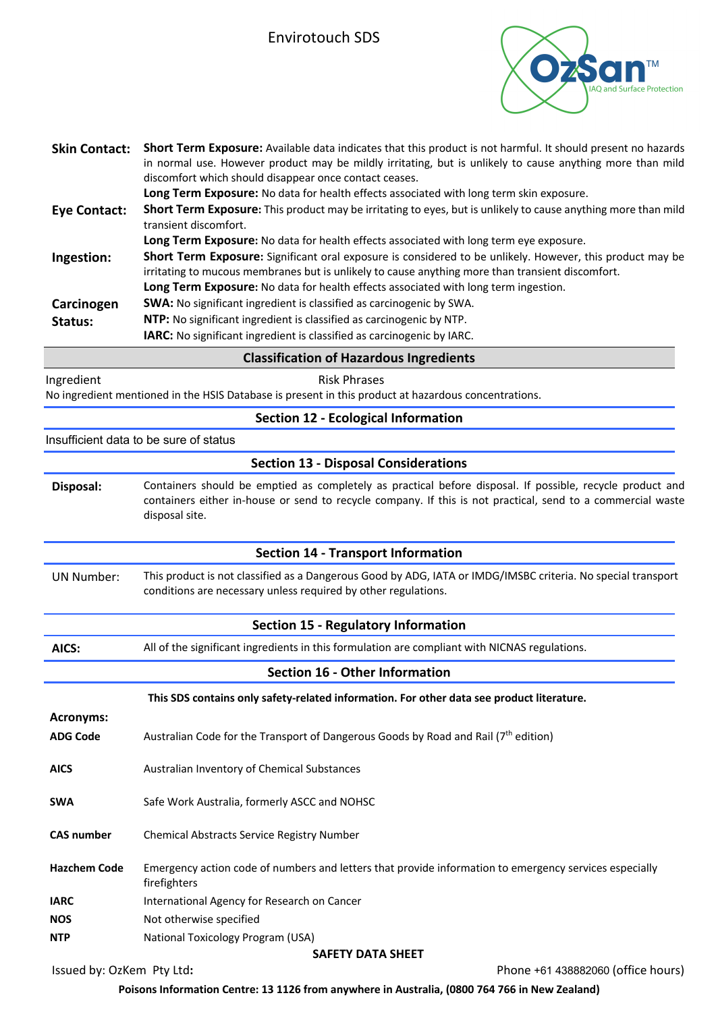

| <b>Skin Contact:</b>      | Short Term Exposure: Available data indicates that this product is not harmful. It should present no hazards<br>in normal use. However product may be mildly irritating, but is unlikely to cause anything more than mild<br>discomfort which should disappear once contact ceases. |
|---------------------------|-------------------------------------------------------------------------------------------------------------------------------------------------------------------------------------------------------------------------------------------------------------------------------------|
|                           | Long Term Exposure: No data for health effects associated with long term skin exposure.                                                                                                                                                                                             |
| <b>Eye Contact:</b>       | Short Term Exposure: This product may be irritating to eyes, but is unlikely to cause anything more than mild<br>transient discomfort.                                                                                                                                              |
|                           | Long Term Exposure: No data for health effects associated with long term eye exposure.                                                                                                                                                                                              |
| Ingestion:                | Short Term Exposure: Significant oral exposure is considered to be unlikely. However, this product may be                                                                                                                                                                           |
|                           | irritating to mucous membranes but is unlikely to cause anything more than transient discomfort.                                                                                                                                                                                    |
|                           | Long Term Exposure: No data for health effects associated with long term ingestion.                                                                                                                                                                                                 |
| Carcinogen                | SWA: No significant ingredient is classified as carcinogenic by SWA.                                                                                                                                                                                                                |
| Status:                   | NTP: No significant ingredient is classified as carcinogenic by NTP.                                                                                                                                                                                                                |
|                           | IARC: No significant ingredient is classified as carcinogenic by IARC.                                                                                                                                                                                                              |
|                           | <b>Classification of Hazardous Ingredients</b>                                                                                                                                                                                                                                      |
| Ingredient                | <b>Risk Phrases</b>                                                                                                                                                                                                                                                                 |
|                           | No ingredient mentioned in the HSIS Database is present in this product at hazardous concentrations.                                                                                                                                                                                |
|                           | <b>Section 12 - Ecological Information</b>                                                                                                                                                                                                                                          |
|                           | Insufficient data to be sure of status                                                                                                                                                                                                                                              |
|                           | <b>Section 13 - Disposal Considerations</b>                                                                                                                                                                                                                                         |
| Disposal:                 | Containers should be emptied as completely as practical before disposal. If possible, recycle product and                                                                                                                                                                           |
|                           | containers either in-house or send to recycle company. If this is not practical, send to a commercial waste                                                                                                                                                                         |
|                           | disposal site.                                                                                                                                                                                                                                                                      |
|                           |                                                                                                                                                                                                                                                                                     |
|                           | <b>Section 14 - Transport Information</b>                                                                                                                                                                                                                                           |
| <b>UN Number:</b>         | This product is not classified as a Dangerous Good by ADG, IATA or IMDG/IMSBC criteria. No special transport<br>conditions are necessary unless required by other regulations.                                                                                                      |
|                           | <b>Section 15 - Regulatory Information</b>                                                                                                                                                                                                                                          |
| AICS:                     | All of the significant ingredients in this formulation are compliant with NICNAS regulations.                                                                                                                                                                                       |
|                           | <b>Section 16 - Other Information</b>                                                                                                                                                                                                                                               |
|                           | This SDS contains only safety-related information. For other data see product literature.                                                                                                                                                                                           |
| <b>Acronyms:</b>          |                                                                                                                                                                                                                                                                                     |
| <b>ADG Code</b>           | Australian Code for the Transport of Dangerous Goods by Road and Rail (7 <sup>th</sup> edition)                                                                                                                                                                                     |
| <b>AICS</b>               | Australian Inventory of Chemical Substances                                                                                                                                                                                                                                         |
|                           |                                                                                                                                                                                                                                                                                     |
| <b>SWA</b>                | Safe Work Australia, formerly ASCC and NOHSC                                                                                                                                                                                                                                        |
| <b>CAS number</b>         | Chemical Abstracts Service Registry Number                                                                                                                                                                                                                                          |
|                           |                                                                                                                                                                                                                                                                                     |
| <b>Hazchem Code</b>       | Emergency action code of numbers and letters that provide information to emergency services especially<br>firefighters                                                                                                                                                              |
| <b>IARC</b>               | International Agency for Research on Cancer                                                                                                                                                                                                                                         |
| <b>NOS</b>                | Not otherwise specified                                                                                                                                                                                                                                                             |
| <b>NTP</b>                | National Toxicology Program (USA)                                                                                                                                                                                                                                                   |
|                           | <b>SAFETY DATA SHEET</b>                                                                                                                                                                                                                                                            |
| Issued by: OzKem Pty Ltd: | Phone +61 438882060 (office hours)                                                                                                                                                                                                                                                  |